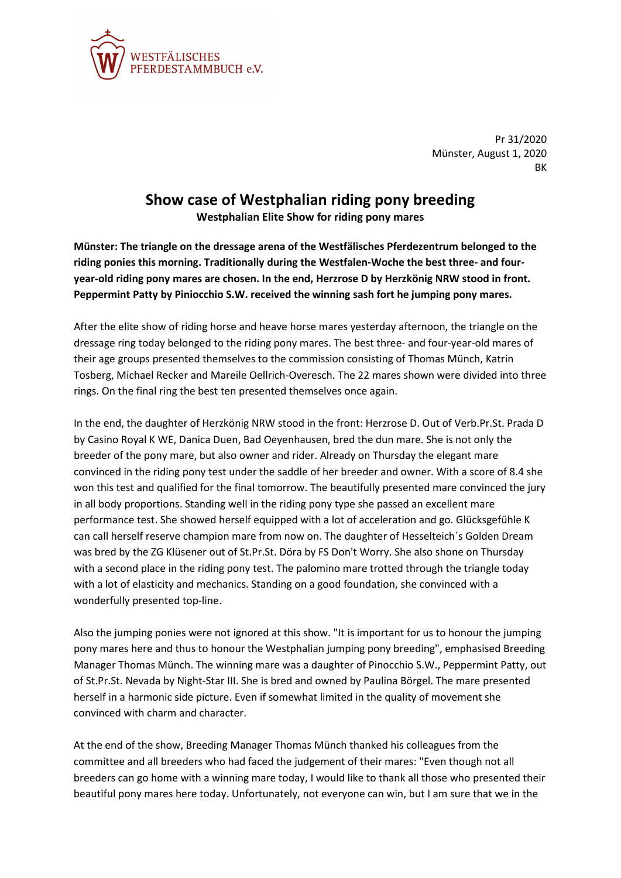

Pr 31/2020 Münster, August 1, 2020 **RK** 

## **Show case of Westphalian riding pony breeding**

**Westphalian Elite Show for riding pony mares**

**Münster: The triangle on the dressage arena of the Westfälisches Pferdezentrum belonged to the riding ponies this morning. Traditionally during the Westfalen-Woche the best three- and fouryear-old riding pony mares are chosen. In the end, Herzrose D by Herzkönig NRW stood in front. Peppermint Patty by Piniocchio S.W. received the winning sash fort he jumping pony mares.**

After the elite show of riding horse and heave horse mares yesterday afternoon, the triangle on the dressage ring today belonged to the riding pony mares. The best three- and four-year-old mares of their age groups presented themselves to the commission consisting of Thomas Münch, Katrin Tosberg, Michael Recker and Mareile Oellrich-Overesch. The 22 mares shown were divided into three rings. On the final ring the best ten presented themselves once again.

In the end, the daughter of Herzkönig NRW stood in the front: Herzrose D. Out of Verb.Pr.St. Prada D by Casino Royal K WE, Danica Duen, Bad Oeyenhausen, bred the dun mare. She is not only the breeder of the pony mare, but also owner and rider. Already on Thursday the elegant mare convinced in the riding pony test under the saddle of her breeder and owner. With a score of 8.4 she won this test and qualified for the final tomorrow. The beautifully presented mare convinced the jury in all body proportions. Standing well in the riding pony type she passed an excellent mare performance test. She showed herself equipped with a lot of acceleration and go. Glücksgefühle K can call herself reserve champion mare from now on. The daughter of Hesselteich´s Golden Dream was bred by the ZG Klüsener out of St.Pr.St. Döra by FS Don't Worry. She also shone on Thursday with a second place in the riding pony test. The palomino mare trotted through the triangle today with a lot of elasticity and mechanics. Standing on a good foundation, she convinced with a wonderfully presented top-line.

Also the jumping ponies were not ignored at this show. "It is important for us to honour the jumping pony mares here and thus to honour the Westphalian jumping pony breeding", emphasised Breeding Manager Thomas Münch. The winning mare was a daughter of Pinocchio S.W., Peppermint Patty, out of St.Pr.St. Nevada by Night-Star III. She is bred and owned by Paulina Börgel. The mare presented herself in a harmonic side picture. Even if somewhat limited in the quality of movement she convinced with charm and character.

At the end of the show, Breeding Manager Thomas Münch thanked his colleagues from the committee and all breeders who had faced the judgement of their mares: "Even though not all breeders can go home with a winning mare today, I would like to thank all those who presented their beautiful pony mares here today. Unfortunately, not everyone can win, but I am sure that we in the